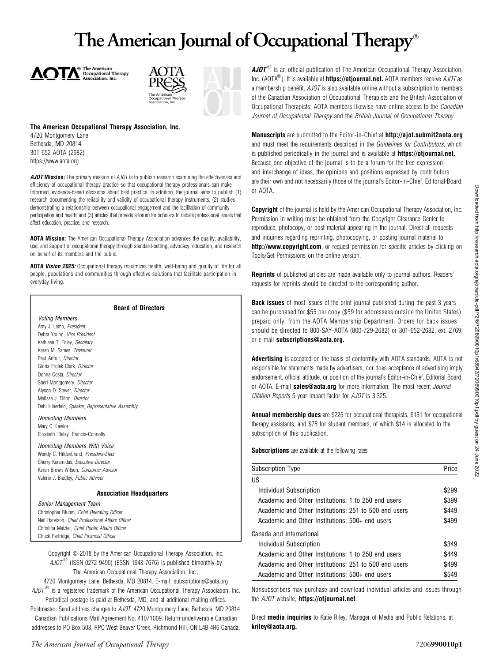# The American Journal of Occupational Therapy





#### The American Occupational Therapy Association, Inc.

4720 Montgomery Lane Bethesda, MD 20814 301-652-AOTA (2682) https://www.aota.org

AJOT Mission: The primary mission of AJOT is to publish research examining the effectiveness and efficiency of occupational therapy practice so that occupational therapy professionals can make informed, evidence-based decisions about best practice. In addition, the journal aims to publish (1) research documenting the reliability and validity of occupational therapy instruments; (2) studies demonstrating a relationship between occupational engagement and the facilitation of community participation and health; and (3) articles that provide a forum for scholars to debate professional issues that affect education, practice, and research.

AOTA Mission: The American Occupational Therapy Association advances the quality, availability, use, and support of occupational therapy through standard-setting, advocacy, education, and research on behalf of its members and the public.

AOTA Vision 2025: Occupational therapy maximizes health, well-being and quality of life for all people, populations and communities through effective solutions that facilitate participation in everyday living.

| <b>Board of Directors</b>                                                                                                                                                                                                                                                                                                 |  |
|---------------------------------------------------------------------------------------------------------------------------------------------------------------------------------------------------------------------------------------------------------------------------------------------------------------------------|--|
| <b>Voting Members</b><br>Amy J. Lamb, President<br>Debra Young, Vice President<br>Kathleen T. Foley, Secretary<br>Karen M. Sames. Treasurer<br>Paul Arthur. Director<br>Gloria Frolek Clark, Director<br>Donna Costa, Director<br>Sheri Montgomery, Director<br>Alyson D. Stover, Director<br>Melissa J. Tilton. Director |  |
| Debi Hinerfeld, Speaker, Representative Assembly<br><b>Nonvoting Members</b><br>Mary C. Lawlor<br>Elizabeth "Betsy" Francis-Connolly                                                                                                                                                                                      |  |
| <b>Nonvoting Members With Voice</b><br>Wendy C. Hildenbrand, President-Elect<br>Sherry Keramidas, Executive Director<br>Keren Brown Wilson, Consumer Advisor<br>Valerie J. Bradley, Public Advisor                                                                                                                        |  |
| <b>Association Headquarters</b>                                                                                                                                                                                                                                                                                           |  |
| Senior Management Team<br>Christopher Bluhm, Chief Operating Officer<br>Neil Harvison, Chief Professional Affairs Officer<br>Christina Metzler. Chief Public Affairs Officer<br>Chuck Partridge, Chief Financial Officer                                                                                                  |  |

Copyright  $\odot$  2018 by the American Occupational Therapy Association, Inc.  $A$ JOT<sup>®</sup> (ISSN 0272-9490) (ESSN 1943-7676) is published bimonthly by The American Occupational Therapy Association, Inc.,

4720 Montgomery Lane, Bethesda, MD 20814. E-mail: subscriptions@aota.org  $A$ JO $T^{(6)}$  is a registered trademark of the American Occupational Therapy Association, Inc.

Periodical postage is paid at Bethesda, MD, and at additional mailing offices. Postmaster: Send address changes to AJOT, 4720 Montgomery Lane, Bethesda, MD 20814. Canadian Publications Mail Agreement No. 41071009. Return undeliverable Canadian

addresses to PO Box 503, RPO West Beaver Creek, Richmond Hill, ON L4B 4R6 Canada.

 $AJOT^{\circledast}$  is an official publication of The American Occupational Therapy Association, Inc. (AOTA<sup>®</sup>). It is available at **https://otjournal.net.** AOTA members receive  $AJOT$  as a membership benefit. AJOT is also available online without a subscription to members of the Canadian Association of Occupational Therapists and the British Association of Occupational Therapists; AOTA members likewise have online access to the *Canadian* Journal of Occupational Therapy and the British Journal of Occupational Therapy.

Manuscripts are submitted to the Editor-in-Chief at http://ajot.submit2aota.org and must meet the requirements described in the *Guidelines for Contributors*, which is published periodically in the journal and is available at **https://otjournal.net.** Because one objective of the journal is to be a forum for the free expression and interchange of ideas, the opinions and positions expressed by contributors are their own and not necessarily those of the journal's Editor-in-Chief, Editorial Board, or AOTA.

**Copyright** of the journal is held by the American Occupational Therapy Association, Inc. Permission in writing must be obtained from the Copyright Clearance Center to reproduce, photocopy, or post material appearing in the journal. Direct all requests and inquiries regarding reprinting, photocopying, or posting journal material to http://www.copyright.com, or request permission for specific articles by clicking on Tools/Get Permissions on the online version.

Reprints of published articles are made available only to journal authors. Readers' requests for reprints should be directed to the corresponding author.

**Back issues** of most issues of the print journal published during the past 3 years can be purchased for \$55 per copy (\$59 for addressees outside the United States), prepaid only, from the AOTA Membership Department. Orders for back issues should be directed to 800-SAY-AOTA (800-729-2682) or 301-652-2682, ext. 2769, or e-mail subscriptions@aota.org.

Advertising is accepted on the basis of conformity with AOTA standards. AOTA is not responsible for statements made by advertisers, nor does acceptance of advertising imply endorsement, official attitude, or position of the journal's Editor-in-Chief, Editorial Board, or AOTA. E-mail sales@aota.org for more information. The most recent Journal Citation Reports 5-year impact factor for AJOT is 3.325.

Annual membership dues are \$225 for occupational therapists, \$131 for occupational therapy assistants, and \$75 for student members, of which \$14 is allocated to the subscription of this publication.

Subscriptions are available at the following rates:

| <b>Subscription Type</b>                              | Price |
|-------------------------------------------------------|-------|
| US                                                    |       |
| Individual Subscription                               | \$299 |
| Academic and Other Institutions: 1 to 250 end users   | \$399 |
| Academic and Other Institutions: 251 to 500 end users | \$449 |
| Academic and Other Institutions: 500+ end users       | \$499 |
| Canada and International                              |       |
| Individual Subscription                               | \$349 |
| Academic and Other Institutions: 1 to 250 end users   | \$449 |
| Academic and Other Institutions: 251 to 500 end users | \$499 |
| Academic and Other Institutions: 500+ end users       | \$549 |
|                                                       |       |

Nonsubscribers may purchase and download individual articles and issues through the AJOT website, https://otjournal.net.

Direct media inquiries to Katie Riley, Manager of Media and Public Relations, at kriley@aota.org.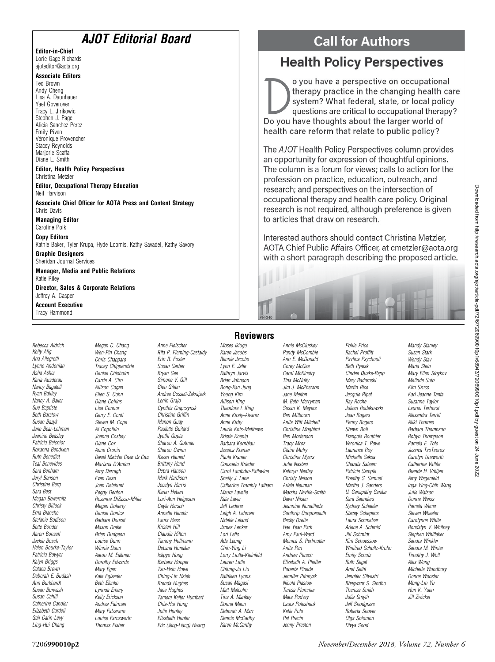### AJOT Editorial Board

Editor-in-Chief Lorie Gage Richards ajoteditor@aota.org

#### Associate Editors

Ted Brown Andy Cheng Lisa A. Daunhauer Yael Goverover Tracy L. Jirikowic Stephen J. Page Alicia Sanchez Perez Emily Piven Véronique Provencher Stacey Reynolds Marjorie Scaffa Diane L. Smith

#### Editor, Health Policy Perspectives Christina Metzler

Editor, Occupational Therapy Education Neil Harvison

Associate Chief Officer for AOTA Press and Content Strategy Chris Davis

Managing Editor Caroline Polk

Copy Editors Kathie Baker, Tyler Krupa, Hyde Loomis, Kathy Savadel, Kathy Savory

Graphic Designers Sheridan Journal Services

Manager, Media and Public Relations Katie Riley

Director, Sales & Corporate Relations Jeffrey A. Casper

Account Executive Tracy Hammond

Rebecca Aldrich Kelly Alig Ana Allegretti Lynne Andonian Asha Asher Karla Ausderau Nancy Bagatell Ryan Bailley Nancy A. Baker Sue Baptiste Beth Barstow Susan Bazyk Jane Bear-Lehman Jeanine Beasley Patricia Belchior Roxanna Bendixen Ruth Benedict Teal Benevides Sara Benham Jeryl Benson Christine Berg Sara Best Megan Bewernitz Christy Billock Erna Blanche Stefanie Bodison Bette Bonder Aaron Bonsall Jackie Bosch Helen Bourke-Taylor Patricia Bowyer Kalyn Briggs Catana Brown Deborah E. Budash Ann Burkhardt Susan Burwash Susan Cahill Catherine Candler Elizabeth Cardell Gail Carin-Levy Ling-Hui Chang

Megan C. Chang Wen-Pin Chang Chris Chapparo Tracey Chippendale Denise Chisholm Carrie A. Ciro Allison Cogan Ellen S. Cohn Diane Collins Lisa Connor Gerry E. Conti Steven M. Cope Al Copolillo Joanna Cosbey Diane Cox Anne Cronin Daniel Marinho Cezar da Cruz Mariana D'Amico Amy Darragh Evan Dean Joan Delahunt Peggy Denton Rosanne DiZazzo-Miller Megan Doherty Denise Donica Barbara Doucet Mason Drake Brian Dudgeon Louise Dunn Winnie Dunn Aaron M. Eakman Dorothy Edwards Mary Egan Kate Eglseder Beth Elenko Lynnda Emery Kelly Erickson Andrea Fairman Mary Falzarano Louise Farnsworth Thomas Fisher

Anne Fleischer Rita P. Fleming-Castaldy Erin R. Foster Susan Garber Bryan Gee Simone V. Gill Glen Gillen Andrea Gossett-Zakrajsek Lenin Grajo Cynthia Grapczynsk Christine Griffin Manon Guay Paulette Guitard Jyothi Gupta Sharon A. Gutman Sharon Gwinn Razan Hamed Brittany Hand Debra Hanson Mark Hardison Jocelyn Harris Karen Hebert Lori-Ann Helgeson Gayle Hersch Annette Herstic Laura Hess Kristen Hill Claudia Hilton Tammy Hoffmann DeLana Honaker Ickpyo Hong Barbara Hooper Tsu-Hsin Howe Ching-Lin Hsieh Brenda Hughes Jane Hughes Tamera Keiter Humbert Chia-Hui Hung Julie Hunley Elizabeth Hunter Eric (Jeng-Liang) Hwang

#### **Reviewers** Moses Ikiugu Karen Jacobs

Rennie Jacobs Lynn E. Jaffe Kathryn Jarvis Brian Johnson Bong-Kan Jung Young Kim Allison King Theodore I. King Anne Kiraly-Alvarez Anne Kirby Laurie Knis-Matthews Kristie Koenig Barbara Kornblau Jessica Kramer Paula Kramer Consuelo Krieder Carol Lambdin-Pattavina Shelly J. Lane Catherine Trombly Latham Maura Lavelle Kate Laver Jeff Lederer Leigh A. Lehman Natalie Leland James Lenker Lori Letts Ada Leung Chih-Ying Li Lorry Liotta-Kleinfeld Lauren Little Chiung-Ju Liu Kathleen Lyons Susan Magasi Matt Malcolm Tina A. Mankey Donna Mann Deborah A. Marr Dennis McCarthy Karen McCarthy

Randy McCombie Ann E. McDonald Corey McGee Carol McKinstry Tina McNulty Jim J. McPherson Jane Melton M. Beth Merryman Susan K. Meyers Ben Milbourn Anita Witt Mitchell Christine Moghimi Ben Mortenson Tracy Mroz Claire Mulry Christine Myers Julie Nastasi Kathryn Nedley Christy Nelson Ariela Neuman Marsha Neville-Smith Dawn Nilsen Jeannine Nonaillada Sonthrip Ounpraseuth Becky Ozelie Hae Yean Park Amy Paul-Ward Monica S. Perlmutter Anita Perr Andrew Persch Elizabeth A. Pfeiffer Roberta Pineda Jennifer Pitonyak Nicola Plastow Teresa Plummer Mara Podvey Laura Poleshuck Katie Polo Pat Precin Jenny Preston

Annie McCluskey

Pollie Price Rachel Proffitt Pavlina Psychouli Beth Pyatak Cindee Quake-Rapp Mary Radomski Martin Rice Jacquie Ripat Ray Roche Juleen Rodakowski Joan Rogers Penny Rogers Shawn Roll Francois Routhier Veronica T. Rowe Laurence Roy Michelle Saksa Ghazala Saleem Patricia Sample Preethy S. Samuel Martha J. Sanders U. Ganapathy Sankar Sara Saunders Sydney Schaefer Stacey Schepens Laura Schmelzer Arlene A. Schmid Jill Schmidt Kim Schoessow Winifred Schultz-Krohn Emily Schulz Ruth Segal Amit Sethi Jennifer Silvestri Bhagwant S. Sindhu Theresa Smith Julia Smyth Jeff Snodgrass Roberta Snover Olga Solomon Divya Sood

Mandy Stanley Susan Stark Wendy Stav Maria Stein Mary Ellen Stoykov Melinda Suto Kim Szucs Kari Jeanne Tanta Suzanne Taylor Lauren Terhorst Alexandra Terrill Aliki Thomas Barbara Thompson Robyn Thompson Pamela E. Toto Jessica TsoTsoros Carolyn Unsworth Catherine Vallée Brenda H. Vrkljan Amy Wagenfeld Inga Ying-Chih Wang Julie Watson Donna Weiss Pamela Wener Steven Wheeler Carolynne White Rondalyn V. Whitney Stephen Whittaker Sandra Winkler Sandra M. Winter Timothy J. Wolf Alex Wong Michelle Woodbury Donna Wooster Mong-Lin Yu Hon K. Yuen Jill Zwicker

## **Health Policy Perspectives**

o you have a perspective on occupational therapy practice in the changing health care system? What federal, state, or local policy questions are critical to occupational therapy? Do you have thoughts about the larger world of health care reform that relate to public policy?

The AJOT Health Policy Perspectives column provides an opportunity for expression of thoughtful opinions. The column is a forum for views; calls to action for the profession on practice, education, outreach, and research; and perspectives on the intersection of occupational therapy and health care policy. Original research is not required, although preference is given to articles that draw on research.

Interested authors should contact Christina Metzler. AOTA Chief Public Affairs Officer, at cmetzler@aota.org with a short paragraph describing the proposed article.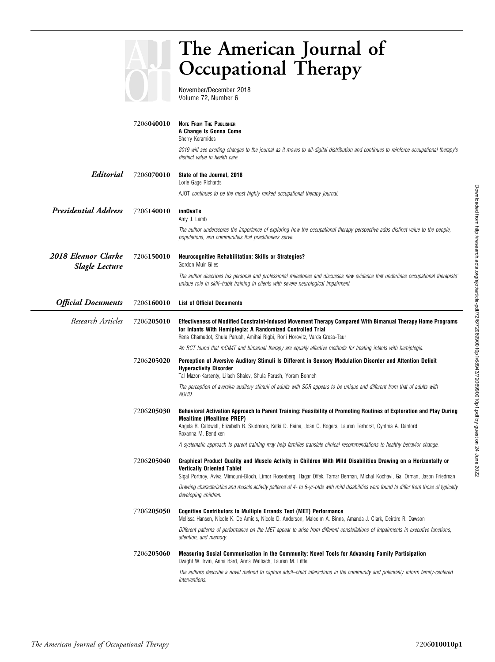### The American Journal of Occupational Therapy November/December 2018 Volume 72, Number 6 7206040010 NOTE FROM THE PUBLISHER A Change Is Gonna Come Sherry Keramides 2019 will see exciting changes to the journal as it moves to all-digital distribution and continues to reinforce occupational therapy's distinct value in health care. Editorial 7206070010 State of the Journal, 2018 Lorie Gage Richards AJOT continues to be the most highly ranked occupational therapy journal. Presidential Address 7206140010 innOvaTe Amy J. Lamb The author underscores the importance of exploring how the occupational therapy perspective adds distinct value to the people, populations, and communities that practitioners serve. 2018 Eleanor Clarke Slagle Lecture 7206150010 Neurocognitive Rehabilitation: Skills or Strategies? Gordon Muir Giles The author describes his personal and professional milestones and discusses new evidence that underlines occupational therapists' unique role in skill–habit training in clients with severe neurological impairment. Official Documents 7206160010 List of Official Documents Research Articles 7206205010 Effectiveness of Modified Constraint-Induced Movement Therapy Compared With Bimanual Therapy Home Programs for Infants With Hemiplegia: A Randomized Controlled Trial Rena Chamudot, Shula Parush, Amihai Rigbi, Roni Horovitz, Varda Gross-Tsur An RCT found that mCIMT and bimanual therapy are equally effective methods for treating infants with hemiplegia. 7206205020 Perception of Aversive Auditory Stimuli Is Different in Sensory Modulation Disorder and Attention Deficit Hyperactivity Disorder Tal Mazor-Karsenty, Lilach Shalev, Shula Parush, Yoram Bonneh The perception of aversive auditory stimuli of adults with SOR appears to be unique and different from that of adults with ADHD. 7206205030 Behavioral Activation Approach to Parent Training: Feasibility of Promoting Routines of Exploration and Play During Mealtime (Mealtime PREP) Angela R. Caldwell, Elizabeth R. Skidmore, Ketki D. Raina, Joan C. Rogers, Lauren Terhorst, Cynthia A. Danford, Roxanna M. Bendixen A systematic approach to parent training may help families translate clinical recommendations to healthy behavior change. 7206205040 Graphical Product Quality and Muscle Activity in Children With Mild Disabilities Drawing on a Horizontally or Vertically Oriented Tablet Sigal Portnoy, Aviva Mimouni-Bloch, Limor Rosenberg, Hagar Offek, Tamar Berman, Michal Kochavi, Gal Orman, Jason Friedman Drawing characteristics and muscle activity patterns of 4- to 6-yr-olds with mild disabilities were found to differ from those of typically developing children. 7206205050 Cognitive Contributors to Multiple Errands Test (MET) Performance Melissa Hansen, Nicole K. De Amicis, Nicole D. Anderson, Malcolm A. Binns, Amanda J. Clark, Deirdre R. Dawson Different patterns of performance on the MET appear to arise from different constellations of impairments in executive functions, attention, and memory.

#### 7206205060 Measuring Social Communication in the Community: Novel Tools for Advancing Family Participation Dwight W. Irvin, Anna Bard, Anna Wallisch, Lauren M. Little

The authors describe a novel method to capture adult–child interactions in the community and potentially inform family-centered interventions.